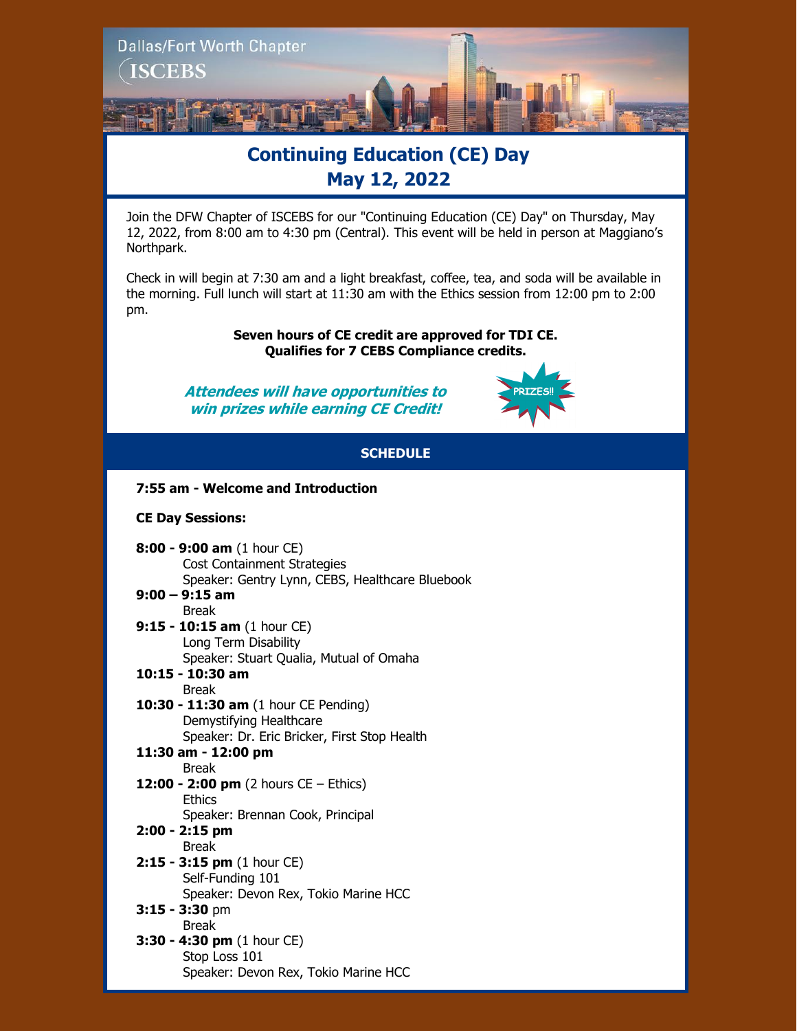

# **Continuing Education (CE) Day May 12, 2022**

Join the DFW Chapter of ISCEBS for our "Continuing Education (CE) Day" on Thursday, May 12, 2022, from 8:00 am to 4:30 pm (Central). This event will be held in person at Maggiano's Northpark.

Check in will begin at 7:30 am and a light breakfast, coffee, tea, and soda will be available in the morning. Full lunch will start at 11:30 am with the Ethics session from 12:00 pm to 2:00 pm.

> **Seven hours of CE credit are approved for TDI CE. Qualifies for 7 CEBS Compliance credits.**

**Attendees will have opportunities to win prizes while earning CE Credit!**



# **SCHEDULE**

## **7:55 am - Welcome and Introduction**

### **CE Day Sessions:**

**8:00 - 9:00 am** (1 hour CE) Cost Containment Strategies Speaker: Gentry Lynn, CEBS, Healthcare Bluebook

#### **9:00 – 9:15 am**  Break

**9:15 - 10:15 am** (1 hour CE) Long Term Disability Speaker: Stuart Qualia, Mutual of Omaha

#### **10:15 - 10:30 am** Break

**10:30 - 11:30 am** (1 hour CE Pending) Demystifying Healthcare Speaker: Dr. Eric Bricker, First Stop Health

# **11:30 am - 12:00 pm**

## Break

- **12:00 - 2:00 pm** (2 hours CE Ethics) **Ethics** 
	- Speaker: Brennan Cook, Principal

#### **2:00 - 2:15 pm** Break

- **2:15 - 3:15 pm** (1 hour CE) Self-Funding 101 Speaker: Devon Rex, Tokio Marine HCC
- **3:15 - 3:30** pm Break
- **3:30 - 4:30 pm** (1 hour CE) Stop Loss 101 Speaker: Devon Rex, Tokio Marine HCC